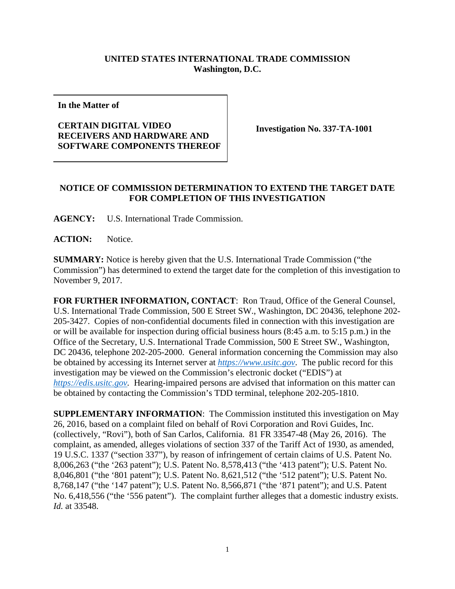## **UNITED STATES INTERNATIONAL TRADE COMMISSION Washington, D.C.**

**In the Matter of** 

## **CERTAIN DIGITAL VIDEO RECEIVERS AND HARDWARE AND SOFTWARE COMPONENTS THEREOF**

**Investigation No. 337-TA-1001** 

## **NOTICE OF COMMISSION DETERMINATION TO EXTEND THE TARGET DATE FOR COMPLETION OF THIS INVESTIGATION**

**AGENCY:** U.S. International Trade Commission.

**ACTION:** Notice.

**SUMMARY:** Notice is hereby given that the U.S. International Trade Commission ("the Commission") has determined to extend the target date for the completion of this investigation to November 9, 2017.

**FOR FURTHER INFORMATION, CONTACT**: Ron Traud, Office of the General Counsel, U.S. International Trade Commission, 500 E Street SW., Washington, DC 20436, telephone 202- 205-3427. Copies of non-confidential documents filed in connection with this investigation are or will be available for inspection during official business hours (8:45 a.m. to 5:15 p.m.) in the Office of the Secretary, U.S. International Trade Commission, 500 E Street SW., Washington, DC 20436, telephone 202-205-2000. General information concerning the Commission may also be obtained by accessing its Internet server at *https://www.usitc.gov*. The public record for this investigation may be viewed on the Commission's electronic docket ("EDIS") at *https://edis.usitc.gov.* Hearing-impaired persons are advised that information on this matter can be obtained by contacting the Commission's TDD terminal, telephone 202-205-1810.

**SUPPLEMENTARY INFORMATION**: The Commission instituted this investigation on May 26, 2016, based on a complaint filed on behalf of Rovi Corporation and Rovi Guides, Inc. (collectively, "Rovi"), both of San Carlos, California. 81 FR 33547-48 (May 26, 2016). The complaint, as amended, alleges violations of section 337 of the Tariff Act of 1930, as amended, 19 U.S.C. 1337 ("section 337"), by reason of infringement of certain claims of U.S. Patent No. 8,006,263 ("the '263 patent"); U.S. Patent No. 8,578,413 ("the '413 patent"); U.S. Patent No. 8,046,801 ("the '801 patent"); U.S. Patent No. 8,621,512 ("the '512 patent"); U.S. Patent No. 8,768,147 ("the '147 patent"); U.S. Patent No. 8,566,871 ("the '871 patent"); and U.S. Patent No. 6,418,556 ("the '556 patent"). The complaint further alleges that a domestic industry exists. *Id.* at 33548.